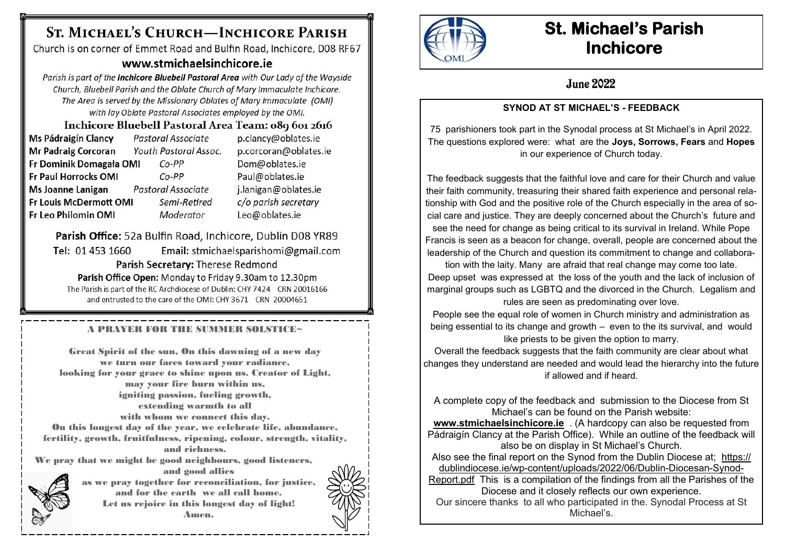# ST. MICHAEL'S CHURCH-INCHICORE PARISH

Church is on corner of Emmet Road and Bulfin Road, Inchicore, D08 RF67

## www.stmichaelsinchicore.je

Parish is part of the Inchicore Bluebell Pastoral Area with Our Lady of the Wayside Church, Bluebell Parish and the Oblate Church of Mary Immaculate Inchicore. The Area is served by the Missionary Oblates of Mary Immaculate (OMI) with lay Oblate Pastoral Associates employed by the OMI.

Inchicore Bluebell Pastoral Area Team: 089 601 2616 Pastoral Associate p.clancy@oblates.ie **Ms Pádraigín Clancy Mr Padraig Corcoran** p.corcoran@oblates.ie Youth Pastoral Assoc. Fr Dominik Domagała OMI  $Co-PP$ Dom@oblates.ie **Fr Paul Horrocks OMI**  $Co-PP$ Paul@oblates.ie Ms Joanne Lanigan j.lanigan@oblates.ie Pastoral Associate **Fr Louis McDermott OMI** Semi-Retired c/o parish secretary Fr Leo Philomin OMI Leo@oblates.ie Moderator

Parish Office: 52a Bulfin Road, Inchicore, Dublin D08 YR89 Tel: 01 453 1660 Email: stmichaelsparishomi@gmail.com Parish Secretary: Therese Redmond Parish Office Open: Monday to Friday 9.30am to 12.30pm

The Parish is part of the RC Archdiocese of Dublin: CHY 7424 CRN 20016166 and entrusted to the care of the OMI: CHY 3671 CRN 20004651

A PRAYER FOR THE SUMMER SOLSTICE~

Great Spirit of the sun, On this dawning of a new day we turn our faces toward your radiance, looking for your grace to shine upon us. Creator of Light, may your fire burn within us, igniting passion, fueling growth, extending warmth to all with whom we connect this day. On this longest day of the year, we celebrate life, abundance, fertility, growth, fruitfulness, ripening, colour, strength, vitality, and richness. We pray that we might be good neighbours, good listeners,



and good allies as we pray together for reconciliation, for justice, and for the earth we all call home. Let us rejoice in this longest day of light! Amen.





# **St. Michael's Parish Inchicore**

## **June 2022**

### **SYNOD AT ST MICHAEL'S - FEEDBACK**

75 parishioners took part in the Synodal process at St Michael's in April 2022. The questions explored were: what are the **Joys, Sorrows, Fears** and **Hopes** in our experience of Church today.

The feedback suggests that the faithful love and care for their Church and value their faith community, treasuring their shared faith experience and personal relationship with God and the positive role of the Church especially in the area of social care and justice. They are deeply concerned about the Church's future and see the need for change as being critical to its survival in Ireland. While Pope Francis is seen as a beacon for change, overall, people are concerned about the leadership of the Church and question its commitment to change and collabora-

tion with the laity. Many are afraid that real change may come too late. Deep upset was expressed at the loss of the youth and the lack of inclusion of marginal groups such as LGBTQ and the divorced in the Church. Legalism and

rules are seen as predominating over love.

People see the equal role of women in Church ministry and administration as being essential to its change and growth – even to the its survival, and would like priests to be given the option to marry.

Overall the feedback suggests that the faith community are clear about what changes they understand are needed and would lead the hierarchy into the future if allowed and if heard.

A complete copy of the feedback and submission to the Diocese from St Michael's can be found on the Parish website:

**[www.stmichaelsinchicore.ie](http://www.stmichaelsinchicore.ie)** . (A hardcopy can also be requested from Pádraigín Clancy at the Parish Office). While an outline of the feedback will also be on display in St Michael's Church.

Also see the final report on the Synod from the Dublin Diocese at; [https://](https://dublindiocese.ie/wp-content/uploads/2022/06/Dublin-Diocesan-Synod-Report.pdf) dublindiocese.ie/wp-[content/uploads/2022/06/Dublin](https://dublindiocese.ie/wp-content/uploads/2022/06/Dublin-Diocesan-Synod-Report.pdf)-Diocesan-Synod-

[Report.pdf](https://dublindiocese.ie/wp-content/uploads/2022/06/Dublin-Diocesan-Synod-Report.pdf) This is a compilation of the findings from all the Parishes of the Diocese and it closely reflects our own experience.

Our sincere thanks to all who participated in the. Synodal Process at St Michael's.